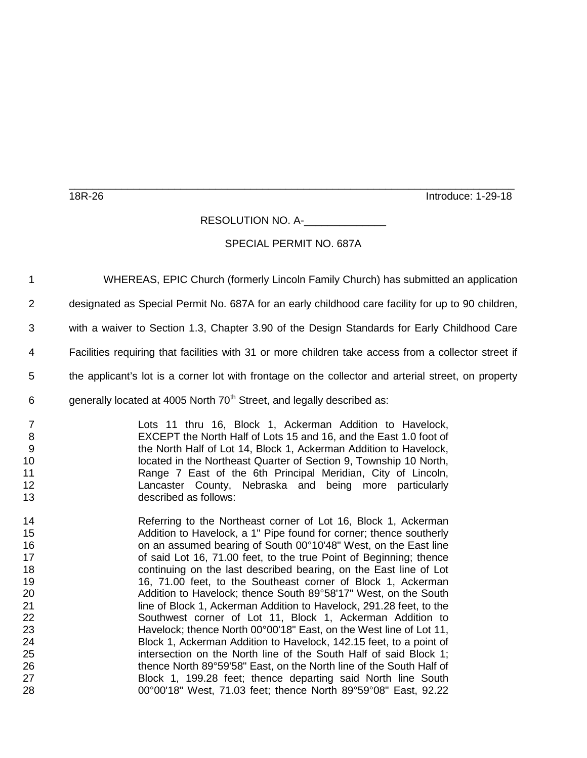18R-26 Introduce: 1-29-18

RESOLUTION NO. A-

\_\_\_\_\_\_\_\_\_\_\_\_\_\_\_\_\_\_\_\_\_\_\_\_\_\_\_\_\_\_\_\_\_\_\_\_\_\_\_\_\_\_\_\_\_\_\_\_\_\_\_\_\_\_\_\_\_\_\_\_\_\_\_\_\_\_\_\_\_\_\_\_\_\_\_\_

## SPECIAL PERMIT NO. 687A

 WHEREAS, EPIC Church (formerly Lincoln Family Church) has submitted an application designated as Special Permit No. 687A for an early childhood care facility for up to 90 children, with a waiver to Section 1.3, Chapter 3.90 of the Design Standards for Early Childhood Care Facilities requiring that facilities with 31 or more children take access from a collector street if the applicant's lot is a corner lot with frontage on the collector and arterial street, on property 6 generally located at 4005 North  $70<sup>th</sup>$  Street, and legally described as: Lots 11 thru 16, Block 1, Ackerman Addition to Havelock, EXCEPT the North Half of Lots 15 and 16, and the East 1.0 foot of the North Half of Lot 14, Block 1, Ackerman Addition to Havelock, 10 located in the Northeast Quarter of Section 9, Township 10 North,<br>11 Range 7 East of the 6th Principal Meridian. City of Lincoln. **1** Range 7 East of the 6th Principal Meridian, City of Lincoln,<br>12 **12** Lancaster County. Nebraska and being more particularly Lancaster County, Nebraska and being more particularly described as follows: Referring to the Northeast corner of Lot 16, Block 1, Ackerman Addition to Havelock, a 1" Pipe found for corner; thence southerly on an assumed bearing of South 00°10'48" West, on the East line **17** of said Lot 16, 71.00 feet, to the true Point of Beginning; thence continuing on the last described bearing, on the East line of Lot 16, 71.00 feet, to the Southeast corner of Block 1, Ackerman Addition to Havelock; thence South 89°58'17" West, on the South **IDED** line of Block 1, Ackerman Addition to Havelock, 291.28 feet, to the Southwest corner of Lot 11, Block 1, Ackerman Addition to Havelock; thence North 00°00'18" East, on the West line of Lot 11, 24 Block 1, Ackerman Addition to Havelock, 142.15 feet, to a point of 1:<br>25 https://www.the North line of the South Half of said Block 1: 25 125 intersection on the North line of the South Half of said Block 1;<br>26 126 126 126 127 thence North 89°59′58″ East, on the North line of the South Half of thence North 89°59'58" East, on the North line of the South Half of Block 1, 199.28 feet; thence departing said North line South 00°00'18" West, 71.03 feet; thence North 89°59°08" East, 92.22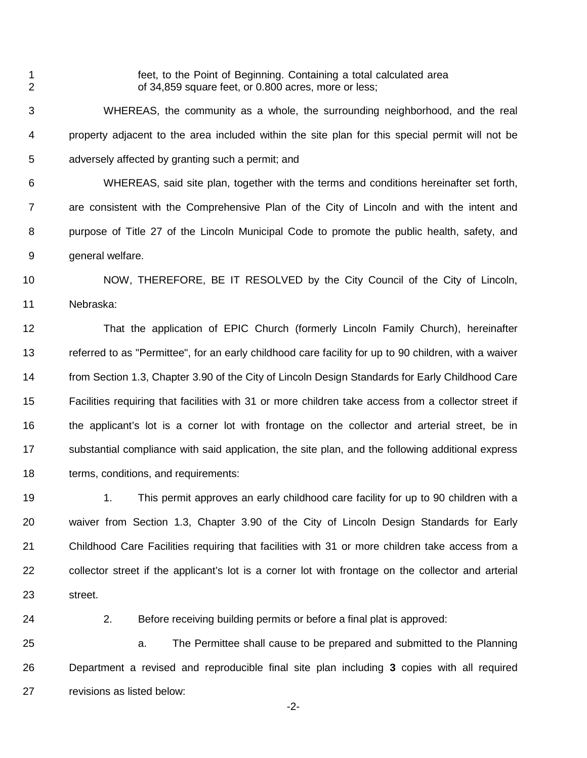1 feet, to the Point of Beginning. Containing a total calculated area<br>2 comparison of 34 859 square feet, or 0.800 acres, more or less: of 34,859 square feet, or 0.800 acres, more or less;

 WHEREAS, the community as a whole, the surrounding neighborhood, and the real property adjacent to the area included within the site plan for this special permit will not be adversely affected by granting such a permit; and

 WHEREAS, said site plan, together with the terms and conditions hereinafter set forth, are consistent with the Comprehensive Plan of the City of Lincoln and with the intent and purpose of Title 27 of the Lincoln Municipal Code to promote the public health, safety, and general welfare.

 NOW, THEREFORE, BE IT RESOLVED by the City Council of the City of Lincoln, Nebraska:

 That the application of EPIC Church (formerly Lincoln Family Church), hereinafter referred to as "Permittee", for an early childhood care facility for up to 90 children, with a waiver from Section 1.3, Chapter 3.90 of the City of Lincoln Design Standards for Early Childhood Care Facilities requiring that facilities with 31 or more children take access from a collector street if 16 the applicant's lot is a corner lot with frontage on the collector and arterial street, be in substantial compliance with said application, the site plan, and the following additional express terms, conditions, and requirements:

19 1. This permit approves an early childhood care facility for up to 90 children with a waiver from Section 1.3, Chapter 3.90 of the City of Lincoln Design Standards for Early Childhood Care Facilities requiring that facilities with 31 or more children take access from a collector street if the applicant's lot is a corner lot with frontage on the collector and arterial street.

2. Before receiving building permits or before a final plat is approved:

 a. The Permittee shall cause to be prepared and submitted to the Planning Department a revised and reproducible final site plan including **3** copies with all required revisions as listed below:

-2-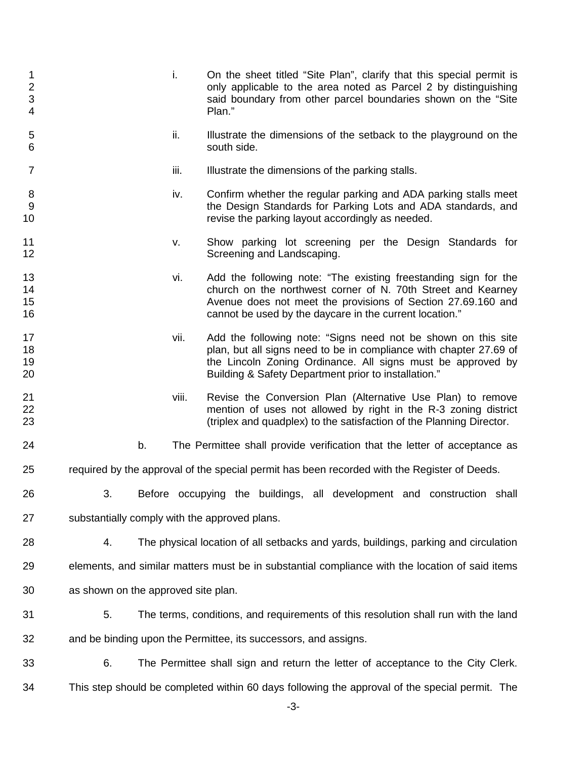| 1<br>$\overline{2}$<br>3<br>4 |                                                                 | i.    | On the sheet titled "Site Plan", clarify that this special permit is<br>only applicable to the area noted as Parcel 2 by distinguishing<br>said boundary from other parcel boundaries shown on the "Site<br>Plan."                                         |
|-------------------------------|-----------------------------------------------------------------|-------|------------------------------------------------------------------------------------------------------------------------------------------------------------------------------------------------------------------------------------------------------------|
| 5<br>6                        |                                                                 | ii.   | Illustrate the dimensions of the setback to the playground on the<br>south side.                                                                                                                                                                           |
| $\overline{7}$                |                                                                 | iii.  | Illustrate the dimensions of the parking stalls.                                                                                                                                                                                                           |
| $\,8\,$<br>9<br>10            |                                                                 | iv.   | Confirm whether the regular parking and ADA parking stalls meet<br>the Design Standards for Parking Lots and ADA standards, and<br>revise the parking layout accordingly as needed.                                                                        |
| 11<br>12                      |                                                                 | v.    | Show parking lot screening per the Design Standards for<br>Screening and Landscaping.                                                                                                                                                                      |
| 13<br>14<br>15<br>16          |                                                                 | vi.   | Add the following note: "The existing freestanding sign for the<br>church on the northwest corner of N. 70th Street and Kearney<br>Avenue does not meet the provisions of Section 27.69.160 and<br>cannot be used by the daycare in the current location." |
| 17<br>18<br>19<br>20          |                                                                 | vii.  | Add the following note: "Signs need not be shown on this site<br>plan, but all signs need to be in compliance with chapter 27.69 of<br>the Lincoln Zoning Ordinance. All signs must be approved by<br>Building & Safety Department prior to installation." |
| 21<br>22<br>23                |                                                                 | viii. | Revise the Conversion Plan (Alternative Use Plan) to remove<br>mention of uses not allowed by right in the R-3 zoning district<br>(triplex and quadplex) to the satisfaction of the Planning Director.                                                     |
| 24                            |                                                                 | b.    | The Permittee shall provide verification that the letter of acceptance as                                                                                                                                                                                  |
| 25                            |                                                                 |       | required by the approval of the special permit has been recorded with the Register of Deeds.                                                                                                                                                               |
| 26                            | 3.                                                              |       | Before occupying the buildings,<br>all development and construction shall                                                                                                                                                                                  |
| 27                            | substantially comply with the approved plans.                   |       |                                                                                                                                                                                                                                                            |
| 28                            | 4.                                                              |       | The physical location of all setbacks and yards, buildings, parking and circulation                                                                                                                                                                        |
| 29                            |                                                                 |       | elements, and similar matters must be in substantial compliance with the location of said items                                                                                                                                                            |
| 30                            | as shown on the approved site plan.                             |       |                                                                                                                                                                                                                                                            |
| 31                            | 5.                                                              |       | The terms, conditions, and requirements of this resolution shall run with the land                                                                                                                                                                         |
| 32                            | and be binding upon the Permittee, its successors, and assigns. |       |                                                                                                                                                                                                                                                            |
| 33                            | 6.                                                              |       | The Permittee shall sign and return the letter of acceptance to the City Clerk.                                                                                                                                                                            |
| 34                            |                                                                 |       | This step should be completed within 60 days following the approval of the special permit. The<br>$-3-$                                                                                                                                                    |